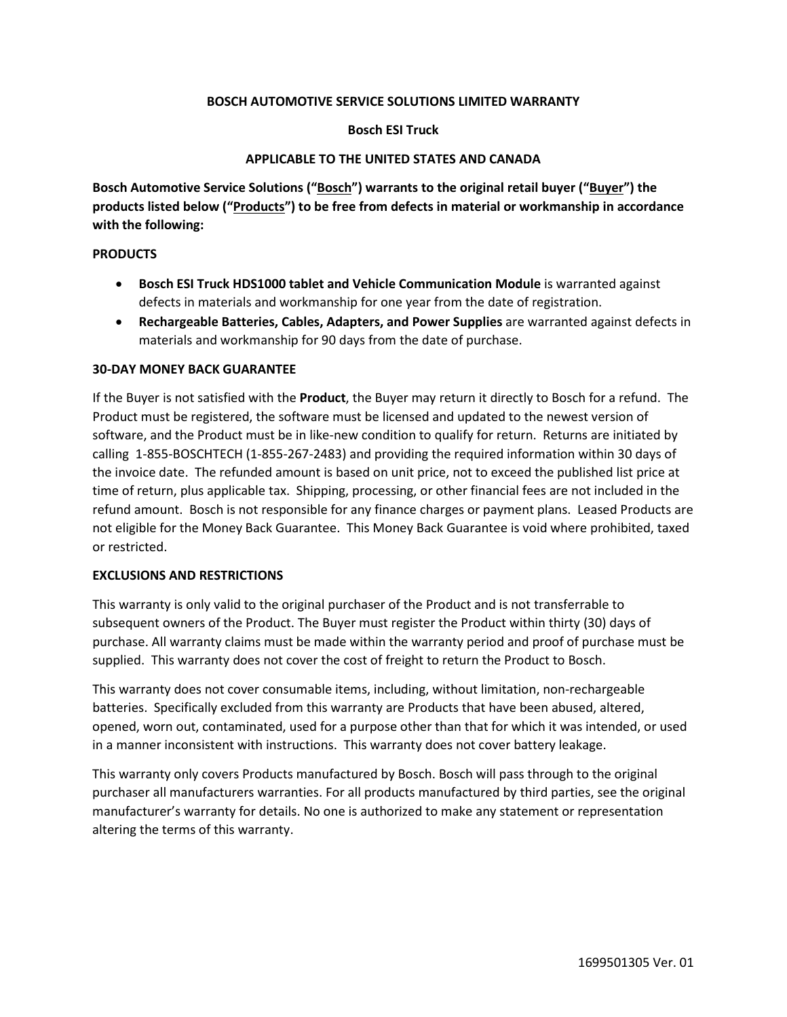## **BOSCH AUTOMOTIVE SERVICE SOLUTIONS LIMITED WARRANTY**

## **Bosch ESI Truck**

## **APPLICABLE TO THE UNITED STATES AND CANADA**

**Bosch Automotive Service Solutions ("Bosch") warrants to the original retail buyer ("Buyer") the products listed below ("Products") to be free from defects in material or workmanship in accordance with the following:**

## **PRODUCTS**

- **Bosch ESI Truck HDS1000 tablet and Vehicle Communication Module** is warranted against defects in materials and workmanship for one year from the date of registration.
- **Rechargeable Batteries, Cables, Adapters, and Power Supplies** are warranted against defects in materials and workmanship for 90 days from the date of purchase.

## **30-DAY MONEY BACK GUARANTEE**

If the Buyer is not satisfied with the **Product**, the Buyer may return it directly to Bosch for a refund. The Product must be registered, the software must be licensed and updated to the newest version of software, and the Product must be in like-new condition to qualify for return. Returns are initiated by calling 1-855-BOSCHTECH (1-855-267-2483) and providing the required information within 30 days of the invoice date. The refunded amount is based on unit price, not to exceed the published list price at time of return, plus applicable tax. Shipping, processing, or other financial fees are not included in the refund amount. Bosch is not responsible for any finance charges or payment plans. Leased Products are not eligible for the Money Back Guarantee. This Money Back Guarantee is void where prohibited, taxed or restricted.

#### **EXCLUSIONS AND RESTRICTIONS**

This warranty is only valid to the original purchaser of the Product and is not transferrable to subsequent owners of the Product. The Buyer must register the Product within thirty (30) days of purchase. All warranty claims must be made within the warranty period and proof of purchase must be supplied. This warranty does not cover the cost of freight to return the Product to Bosch.

This warranty does not cover consumable items, including, without limitation, non-rechargeable batteries. Specifically excluded from this warranty are Products that have been abused, altered, opened, worn out, contaminated, used for a purpose other than that for which it was intended, or used in a manner inconsistent with instructions. This warranty does not cover battery leakage.

This warranty only covers Products manufactured by Bosch. Bosch will pass through to the original purchaser all manufacturers warranties. For all products manufactured by third parties, see the original manufacturer's warranty for details. No one is authorized to make any statement or representation altering the terms of this warranty.